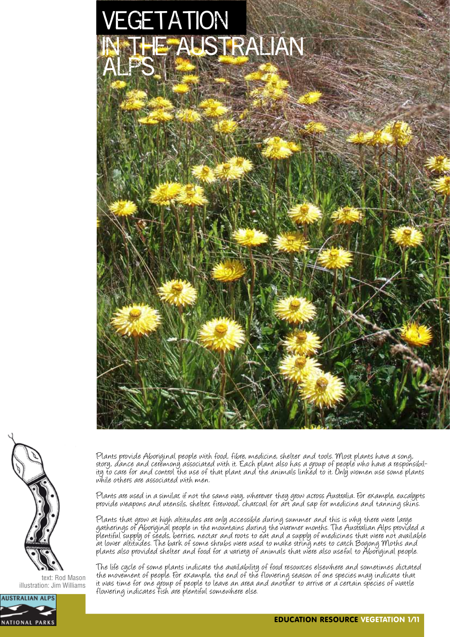



text: Rod Mason illustration: Jim Williams



Plants provide Aboriginal people with food, fibre, medicine, shelter and tools. Most plants have a song,<br>story, dance and ceremony associated with it. Each plant also has a group of people who have a responsibility to care for and control the use of that plant and the animals linked to it. Only women use some plants while others are associated with men.

Plants are used in a similar, if not the same way, wherever they grow across Australia. For example, eucalypts provide weapons and utensils, shelter, firewood, charcoal for art and sap for medicine and tanning skins.

Plants that grow at high altitudes are only accessible during summer and this is why there were large gatherings of Aboriginal people in the mountains during the warmer months. The Australian Alps provided a plentiful supply of seeds, berries, nectar and roots to eat and a supply of medicines that were not available at lower altitudes. The bark of some shrubs were used to make string nets to catch Bogong Moths and plants also provided shelter and food for a variety of animals that were also useful to Aboriginal people.

The life cycle of some plants indicate the availability of food resources elsewhere and sometimes dictated the movement of people. For example, the end of the flowering season of one species may indicate that it was time for one group of people to leave an area and another to arrive or a certain species of wattle flowering indicates fish are plentiful somewhere else.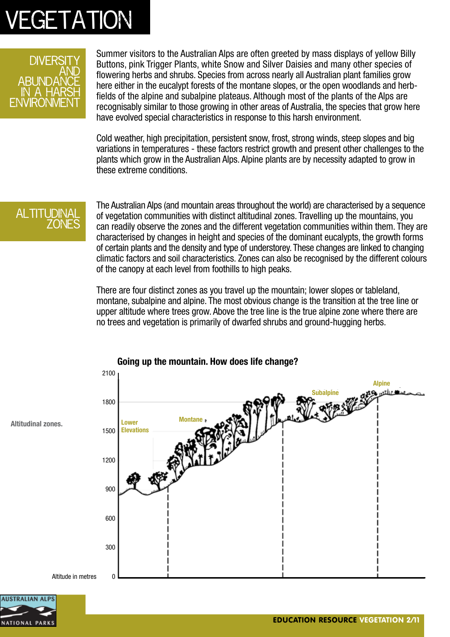

Summer visitors to the Australian Alps are often greeted by mass displays of yellow Billy Buttons, pink Trigger Plants, white Snow and Silver Daisies and many other species of flowering herbs and shrubs. Species from across nearly all Australian plant families grow here either in the eucalypt forests of the montane slopes, or the open woodlands and herbfields of the alpine and subalpine plateaus. Although most of the plants of the Alps are recognisably similar to those growing in other areas of Australia, the species that grow here have evolved special characteristics in response to this harsh environment.

Cold weather, high precipitation, persistent snow, frost, strong winds, steep slopes and big variations in temperatures - these factors restrict growth and present other challenges to the plants which grow in the Australian Alps. Alpine plants are by necessity adapted to grow in these extreme conditions.

#### **ALTITUDINA** zones

The Australian Alps (and mountain areas throughout the world) are characterised by a sequence of vegetation communities with distinct altitudinal zones. Travelling up the mountains, you can readily observe the zones and the different vegetation communities within them. They are characterised by changes in height and species of the dominant eucalypts, the growth forms of certain plants and the density and type of understorey. These changes are linked to changing climatic factors and soil characteristics. Zones can also be recognised by the different colours of the canopy at each level from foothills to high peaks.

There are four distinct zones as you travel up the mountain; lower slopes or tableland, montane, subalpine and alpine. The most obvious change is the transition at the tree line or upper altitude where trees grow. Above the tree line is the true alpine zone where there are no trees and vegetation is primarily of dwarfed shrubs and ground-hugging herbs.



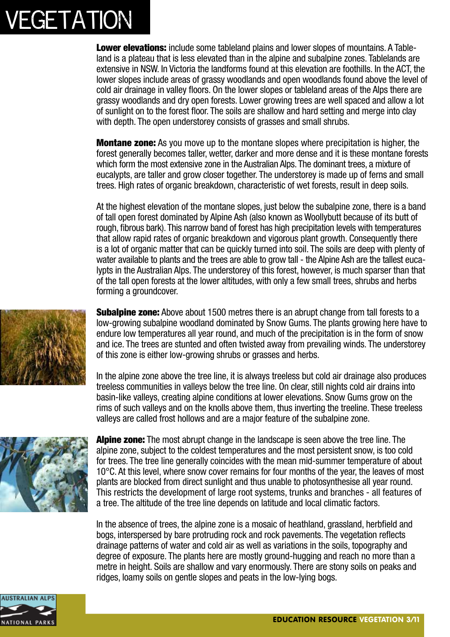

**Montane zone:** As you move up to the montane slopes where precipitation is higher, the forest generally becomes taller, wetter, darker and more dense and it is these montane forests which form the most extensive zone in the Australian Alps. The dominant trees, a mixture of eucalypts, are taller and grow closer together. The understorey is made up of ferns and small trees. High rates of organic breakdown, characteristic of wet forests, result in deep soils.

At the highest elevation of the montane slopes, just below the subalpine zone, there is a band of tall open forest dominated by Alpine Ash (also known as Woollybutt because of its butt of rough, fibrous bark). This narrow band of forest has high precipitation levels with temperatures that allow rapid rates of organic breakdown and vigorous plant growth. Consequently there is a lot of organic matter that can be quickly turned into soil. The soils are deep with plenty of water available to plants and the trees are able to grow tall - the Alpine Ash are the tallest eucalypts in the Australian Alps. The understorey of this forest, however, is much sparser than that of the tall open forests at the lower altitudes, with only a few small trees, shrubs and herbs forming a groundcover.

**Subalpine zone:** Above about 1500 metres there is an abrupt change from tall forests to a low-growing subalpine woodland dominated by Snow Gums. The plants growing here have to endure low temperatures all year round, and much of the precipitation is in the form of snow and ice. The trees are stunted and often twisted away from prevailing winds. The understorey of this zone is either low-growing shrubs or grasses and herbs.

In the alpine zone above the tree line, it is always treeless but cold air drainage also produces treeless communities in valleys below the tree line. On clear, still nights cold air drains into basin-like valleys, creating alpine conditions at lower elevations. Snow Gums grow on the rims of such valleys and on the knolls above them, thus inverting the treeline. These treeless valleys are called frost hollows and are a major feature of the subalpine zone.



**Alpine zone:** The most abrupt change in the landscape is seen above the tree line. The alpine zone, subject to the coldest temperatures and the most persistent snow, is too cold for trees. The tree line generally coincides with the mean mid-summer temperature of about 10°C. At this level, where snow cover remains for four months of the year, the leaves of most plants are blocked from direct sunlight and thus unable to photosynthesise all year round. This restricts the development of large root systems, trunks and branches - all features of a tree. The altitude of the tree line depends on latitude and local climatic factors.

In the absence of trees, the alpine zone is a mosaic of heathland, grassland, herbfield and bogs, interspersed by bare protruding rock and rock pavements. The vegetation reflects drainage patterns of water and cold air as well as variations in the soils, topography and degree of exposure. The plants here are mostly ground-hugging and reach no more than a metre in height. Soils are shallow and vary enormously. There are stony soils on peaks and ridges, loamy soils on gentle slopes and peats in the low-lying bogs.



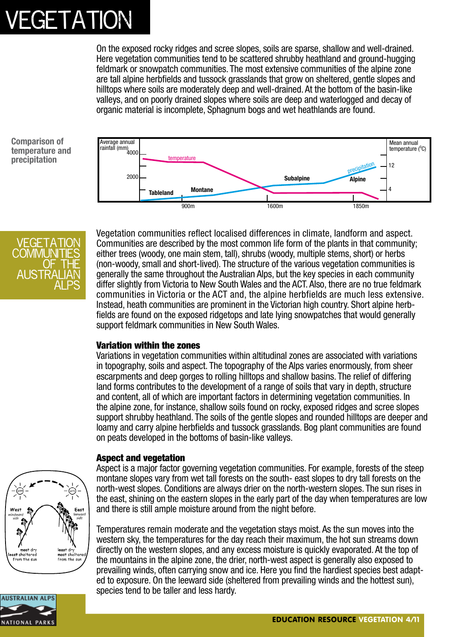On the exposed rocky ridges and scree slopes, soils are sparse, shallow and well-drained. Here vegetation communities tend to be scattered shrubby heathland and ground-hugging feldmark or snowpatch communities. The most extensive communities of the alpine zone are tall alpine herbfields and tussock grasslands that grow on sheltered, gentle slopes and hilltops where soils are moderately deep and well-drained. At the bottom of the basin-like valleys, and on poorly drained slopes where soils are deep and waterlogged and decay of organic material is incomplete, Sphagnum bogs and wet heathlands are found.

**Comparison of temperature and precipitation**





Vegetation communities reflect localised differences in climate, landform and aspect. Communities are described by the most common life form of the plants in that community; either trees (woody, one main stem, tall), shrubs (woody, multiple stems, short) or herbs (non-woody, small and short-lived). The structure of the various vegetation communities is generally the same throughout the Australian Alps, but the key species in each community differ slightly from Victoria to New South Wales and the ACT. Also, there are no true feldmark communities in Victoria or the ACT and, the alpine herbfields are much less extensive. Instead, heath communities are prominent in the Victorian high country. Short alpine herbfields are found on the exposed ridgetops and late lying snowpatches that would generally support feldmark communities in New South Wales.

#### Variation within the zones

Variations in vegetation communities within altitudinal zones are associated with variations in topography, soils and aspect. The topography of the Alps varies enormously, from sheer escarpments and deep gorges to rolling hilltops and shallow basins. The relief of differing land forms contributes to the development of a range of soils that vary in depth, structure and content, all of which are important factors in determining vegetation communities. In the alpine zone, for instance, shallow soils found on rocky, exposed ridges and scree slopes support shrubby heathland. The soils of the gentle slopes and rounded hilltops are deeper and loamy and carry alpine herbfields and tussock grasslands. Bog plant communities are found on peats developed in the bottoms of basin-like valleys.

#### Aspect and vegetation



Aspect is a major factor governing vegetation communities. For example, forests of the steep montane slopes vary from wet tall forests on the south- east slopes to dry tall forests on the north-west slopes. Conditions are always drier on the north-western slopes. The sun rises in the east, shining on the eastern slopes in the early part of the day when temperatures are low and there is still ample moisture around from the night before.

Temperatures remain moderate and the vegetation stays moist. As the sun moves into the western sky, the temperatures for the day reach their maximum, the hot sun streams down directly on the western slopes, and any excess moisture is quickly evaporated. At the top of the mountains in the alpine zone, the drier, north-west aspect is generally also exposed to prevailing winds, often carrying snow and ice. Here you find the hardiest species best adapted to exposure. On the leeward side (sheltered from prevailing winds and the hottest sun), species tend to be taller and less hardy.

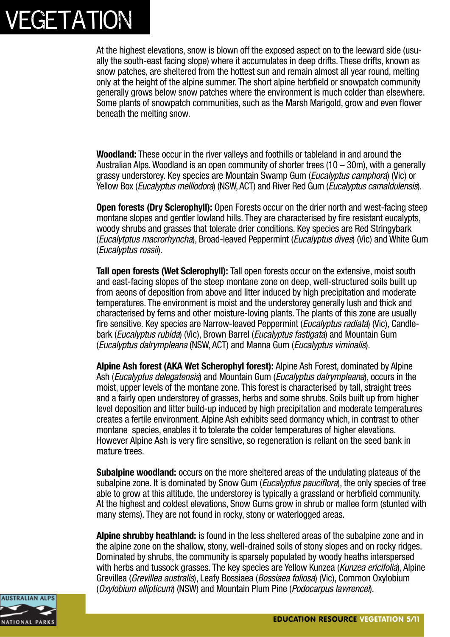At the highest elevations, snow is blown off the exposed aspect on to the leeward side (usually the south-east facing slope) where it accumulates in deep drifts. These drifts, known as snow patches, are sheltered from the hottest sun and remain almost all year round, melting only at the height of the alpine summer. The short alpine herbfield or snowpatch community generally grows below snow patches where the environment is much colder than elsewhere. Some plants of snowpatch communities, such as the Marsh Marigold, grow and even flower beneath the melting snow.

**Woodland:** These occur in the river valleys and foothills or tableland in and around the Australian Alps. Woodland is an open community of shorter trees (10 – 30m), with a generally grassy understorey. Key species are Mountain Swamp Gum (*Eucalyptus camphora*) (Vic) or Yellow Box (*Eucalyptus melliodora*) (NSW, ACT) and River Red Gum (*Eucalyptus camaldulensis*).

**Open forests (Dry Sclerophyll):** Open Forests occur on the drier north and west-facing steep montane slopes and gentler lowland hills. They are characterised by fire resistant eucalypts, woody shrubs and grasses that tolerate drier conditions. Key species are Red Stringybark (*Eucalytptus macrorhyncha*), Broad-leaved Peppermint (*Eucalyptus dives*) (Vic) and White Gum (*Eucalyptus rossii*).

**Tall open forests (Wet Sclerophyll):** Tall open forests occur on the extensive, moist south and east-facing slopes of the steep montane zone on deep, well-structured soils built up from aeons of deposition from above and litter induced by high precipitation and moderate temperatures. The environment is moist and the understorey generally lush and thick and characterised by ferns and other moisture-loving plants. The plants of this zone are usually fire sensitive. Key species are Narrow-leaved Peppermint (*Eucalyptus radiata*) (Vic), Candlebark (*Eucalyptus rubida*) (Vic), Brown Barrel (*Eucalyptus fastigata*) and Mountain Gum (*Eucalyptus dalrympleana* (NSW, ACT) and Manna Gum (*Eucalyptus viminalis*).

**Alpine Ash forest (AKA Wet Scherophyl forest):** Alpine Ash Forest, dominated by Alpine Ash (*Eucalyptus delegatensis*) and Mountain Gum (*Eucalyptus dalrympleana*), occurs in the moist, upper levels of the montane zone. This forest is characterised by tall, straight trees and a fairly open understorey of grasses, herbs and some shrubs. Soils built up from higher level deposition and litter build-up induced by high precipitation and moderate temperatures creates a fertile environment. Alpine Ash exhibits seed dormancy which, in contrast to other montane species, enables it to tolerate the colder temperatures of higher elevations. However Alpine Ash is very fire sensitive, so regeneration is reliant on the seed bank in mature trees.

**Subalpine woodland:** occurs on the more sheltered areas of the undulating plateaus of the subalpine zone. It is dominated by Snow Gum (*Eucalyptus pauciflora*), the only species of tree able to grow at this altitude, the understorey is typically a grassland or herbfield community. At the highest and coldest elevations, Snow Gums grow in shrub or mallee form (stunted with many stems). They are not found in rocky, stony or waterlogged areas.

**Alpine shrubby heathland:** is found in the less sheltered areas of the subalpine zone and in the alpine zone on the shallow, stony, well-drained soils of stony slopes and on rocky ridges. Dominated by shrubs, the community is sparsely populated by woody heaths interspersed with herbs and tussock grasses. The key species are Yellow Kunzea (*Kunzea ericifolia*), Alpine Grevillea (*Grevillea australis*), Leafy Bossiaea (*Bossiaea foliosa*) (Vic), Common Oxylobium (*Oxylobium ellipticum*) (NSW) and Mountain Plum Pine (*Podocarpus lawrencei*).

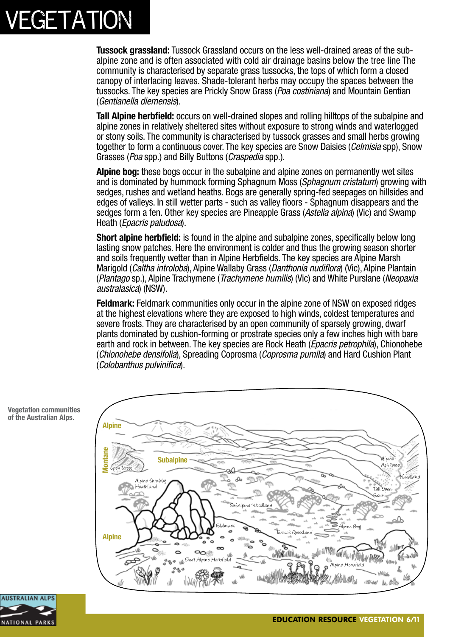**Tussock grassland:** Tussock Grassland occurs on the less well-drained areas of the subalpine zone and is often associated with cold air drainage basins below the tree line The community is characterised by separate grass tussocks, the tops of which form a closed canopy of interlacing leaves. Shade-tolerant herbs may occupy the spaces between the tussocks. The key species are Prickly Snow Grass (*Poa costiniana*) and Mountain Gentian (*Gentianella diemensis*).

**Tall Alpine herbfield:** occurs on well-drained slopes and rolling hilltops of the subalpine and alpine zones in relatively sheltered sites without exposure to strong winds and waterlogged or stony soils. The community is characterised by tussock grasses and small herbs growing together to form a continuous cover. The key species are Snow Daisies (*Celmisia* spp), Snow Grasses (*Poa* spp.) and Billy Buttons (*Craspedia* spp.).

**Alpine bog:** these bogs occur in the subalpine and alpine zones on permanently wet sites and is dominated by hummock forming Sphagnum Moss (*Sphagnum cristatum*) growing with sedges, rushes and wetland heaths. Bogs are generally spring-fed seepages on hillsides and edges of valleys. In still wetter parts - such as valley floors - Sphagnum disappears and the sedges form a fen. Other key species are Pineapple Grass (*Astelia alpina*) (Vic) and Swamp Heath (*Epacris paludosa*).

**Short alpine herbfield:** is found in the alpine and subalpine zones, specifically below long lasting snow patches. Here the environment is colder and thus the growing season shorter and soils frequently wetter than in Alpine Herbfields. The key species are Alpine Marsh Marigold (*Caltha introloba*), Alpine Wallaby Grass (*Danthonia nudiflora*) (Vic), Alpine Plantain (*Plantago* sp.), Alpine Trachymene (*Trachymene humilis*) (Vic) and White Purslane (*Neopaxia australasica*) (NSW).

**Feldmark:** Feldmark communities only occur in the alpine zone of NSW on exposed ridges at the highest elevations where they are exposed to high winds, coldest temperatures and severe frosts. They are characterised by an open community of sparsely growing, dwarf plants dominated by cushion-forming or prostrate species only a few inches high with bare earth and rock in between. The key species are Rock Heath (*Epacris petrophila*), Chionohebe (*Chionohebe densifolia*), Spreading Coprosma (*Coprosma pumila*) and Hard Cushion Plant (*Colobanthus pulvinifica*).



**Vegetation communities of the Australian Alps.**

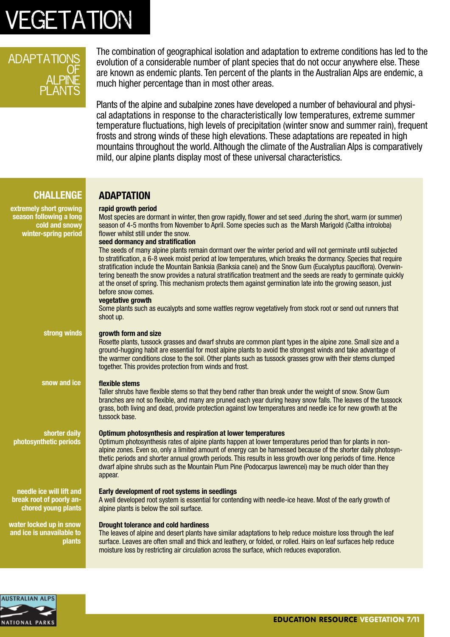#### **ADAPTATIONS** <u>OF</u> <u>ALPINE</u> PLANTS

The combination of geographical isolation and adaptation to extreme conditions has led to the evolution of a considerable number of plant species that do not occur anywhere else. These are known as endemic plants. Ten percent of the plants in the Australian Alps are endemic, a much higher percentage than in most other areas.

Plants of the alpine and subalpine zones have developed a number of behavioural and physical adaptations in response to the characteristically low temperatures, extreme summer temperature fluctuations, high levels of precipitation (winter snow and summer rain), frequent frosts and strong winds of these high elevations. These adaptations are repeated in high mountains throughout the world. Although the climate of the Australian Alps is comparatively mild, our alpine plants display most of these universal characteristics.

#### **CHALLENGE**

**ADAPTATION**

#### **extremely short growing season following a long cold and snowy winter-spring period strong winds rapid growth period**  Most species are dormant in winter, then grow rapidly, flower and set seed ,during the short, warm (or summer) season of 4-5 months from November to April. Some species such as the Marsh Marigold (Caltha introloba) flower whilst still under the snow. **seed dormancy and stratification** The seeds of many alpine plants remain dormant over the winter period and will not germinate until subjected to stratification, a 6-8 week moist period at low temperatures, which breaks the dormancy. Species that require stratification include the Mountain Banksia (Banksia canei) and the Snow Gum (Eucalyptus pauciflora). Overwintering beneath the snow provides a natural stratification treatment and the seeds are ready to germinate quickly at the onset of spring. This mechanism protects them against germination late into the growing season, just before snow comes. **vegetative growth** Some plants such as eucalypts and some wattles regrow vegetatively from stock root or send out runners that shoot up. **growth form and size**  Rosette plants, tussock grasses and dwarf shrubs are common plant types in the alpine zone. Small size and a ground-hugging habit are essential for most alpine plants to avoid the strongest winds and take advantage of the warmer conditions close to the soil. Other plants such as tussock grasses grow with their stems clumped together. This provides protection from winds and frost. **flexible stems**  Taller shrubs have flexible stems so that they bend rather than break under the weight of snow. Snow Gum branches are not so flexible, and many are pruned each year during heavy snow falls. The leaves of the tussock grass, both living and dead, provide protection against low temperatures and needle ice for new growth at the tussock base. **Optimum photosynthesis and respiration at lower temperatures**  Optimum photosynthesis rates of alpine plants happen at lower temperatures period than for plants in nonalpine zones. Even so, only a limited amount of energy can be harnessed because of the shorter daily photosynthetic periods and shorter annual growth periods. This results in less growth over long periods of time. Hence dwarf alpine shrubs such as the Mountain Plum Pine (Podocarpus lawrencei) may be much older than they appear. **Early development of root systems in seedlings**  A well developed root system is essential for contending with needle-ice heave. Most of the early growth of alpine plants is below the soil surface. **Drought tolerance and cold hardiness**  The leaves of alpine and desert plants have similar adaptations to help reduce moisture loss through the leaf surface. Leaves are often small and thick and leathery, or folded, or rolled. Hairs on leaf surfaces help reduce moisture loss by restricting air circulation across the surface, which reduces evaporation. **snow and ice shorter daily photosynthetic periods needle ice will lift and break root of poorly anchored young plants water locked up in snow and ice is unavailable to plants**

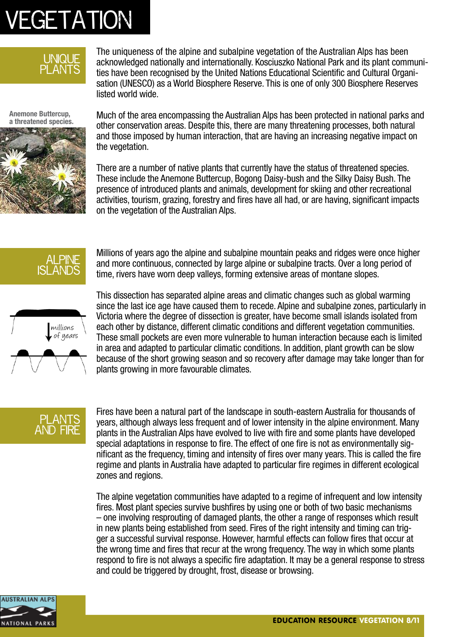

The uniqueness of the alpine and subalpine vegetation of the Australian Alps has been acknowledged nationally and internationally. Kosciuszko National Park and its plant communities have been recognised by the United Nations Educational Scientific and Cultural Organisation (UNESCO) as a World Biosphere Reserve. This is one of only 300 Biosphere Reserves listed world wide.

**Anemone Buttercup, a threatened species.**



Much of the area encompassing the Australian Alps has been protected in national parks and other conservation areas. Despite this, there are many threatening processes, both natural and those imposed by human interaction, that are having an increasing negative impact on the vegetation.

There are a number of native plants that currently have the status of threatened species. These include the Anemone Buttercup, Bogong Daisy-bush and the Silky Daisy Bush. The presence of introduced plants and animals, development for skiing and other recreational activities, tourism, grazing, forestry and fires have all had, or are having, significant impacts on the vegetation of the Australian Alps.



Millions of years ago the alpine and subalpine mountain peaks and ridges were once higher and more continuous, connected by large alpine or subalpine tracts. Over a long period of time, rivers have worn deep valleys, forming extensive areas of montane slopes.



This dissection has separated alpine areas and climatic changes such as global warming since the last ice age have caused them to recede. Alpine and subalpine zones, particularly in Victoria where the degree of dissection is greater, have become small islands isolated from each other by distance, different climatic conditions and different vegetation communities. These small pockets are even more vulnerable to human interaction because each is limited in area and adapted to particular climatic conditions. In addition, plant growth can be slow because of the short growing season and so recovery after damage may take longer than for plants growing in more favourable climates.

### PLANTS and fire

Fires have been a natural part of the landscape in south-eastern Australia for thousands of years, although always less frequent and of lower intensity in the alpine environment. Many plants in the Australian Alps have evolved to live with fire and some plants have developed special adaptations in response to fire. The effect of one fire is not as environmentally significant as the frequency, timing and intensity of fires over many years. This is called the fire regime and plants in Australia have adapted to particular fire regimes in different ecological zones and regions.

The alpine vegetation communities have adapted to a regime of infrequent and low intensity fires. Most plant species survive bushfires by using one or both of two basic mechanisms – one involving resprouting of damaged plants, the other a range of responses which result in new plants being established from seed. Fires of the right intensity and timing can trigger a successful survival response. However, harmful effects can follow fires that occur at the wrong time and fires that recur at the wrong frequency. The way in which some plants respond to fire is not always a specific fire adaptation. It may be a general response to stress and could be triggered by drought, frost, disease or browsing.

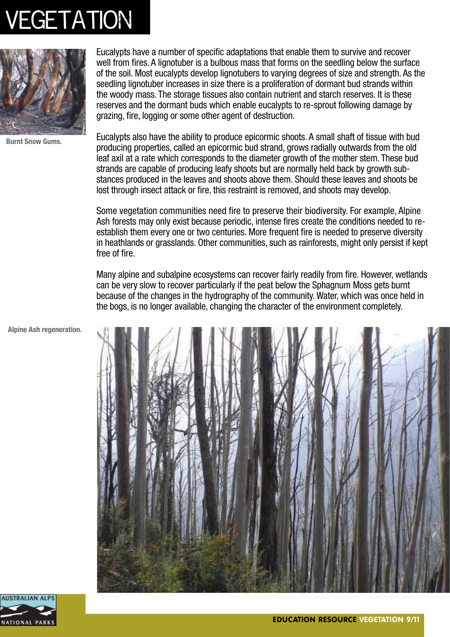

**Burnt Snow Gums.**

Eucalypts have a number of specific adaptations that enable them to survive and recover well from fires. A lignotuber is a bulbous mass that forms on the seedling below the surface of the soil. Most eucalypts develop lignotubers to varying degrees of size and strength. As the seedling lignotuber increases in size there is a proliferation of dormant bud strands within the woody mass. The storage tissues also contain nutrient and starch reserves. It is these reserves and the dormant buds which enable eucalypts to re-sprout following damage by grazing, fire, logging or some other agent of destruction.

Eucalypts also have the ability to produce epicormic shoots. A small shaft of tissue with bud producing properties, called an epicormic bud strand, grows radially outwards from the old leaf axil at a rate which corresponds to the diameter growth of the mother stem. These bud strands are capable of producing leafy shoots but are normally held back by growth substances produced in the leaves and shoots above them. Should these leaves and shoots be lost through insect attack or fire, this restraint is removed, and shoots may develop.

Some vegetation communities need fire to preserve their biodiversity. For example, Alpine Ash forests may only exist because periodic, intense fires create the conditions needed to reestablish them every one or two centuries. More frequent fire is needed to preserve diversity in heathlands or grasslands. Other communities, such as rainforests, might only persist if kept free of fire.

Many alpine and subalpine ecosystems can recover fairly readily from fire. However, wetlands can be very slow to recover particularly if the peat below the Sphagnum Moss gets burnt because of the changes in the hydrography of the community. Water, which was once held in the bogs, is no longer available, changing the character of the environment completely.

**Alpine Ash regeneration.**



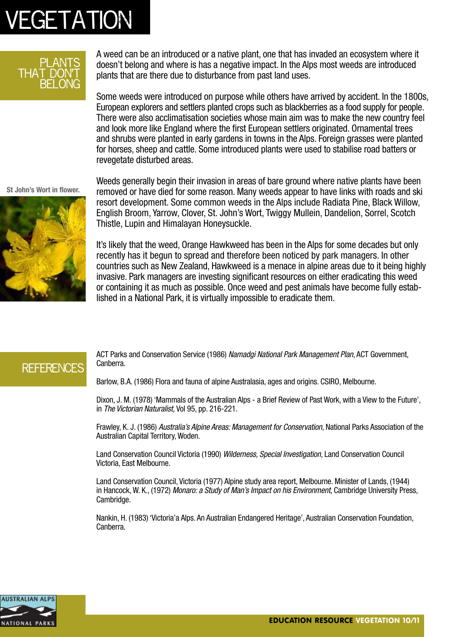#### plants that don't belong

A weed can be an introduced or a native plant, one that has invaded an ecosystem where it doesn't belong and where is has a negative impact. In the Alps most weeds are introduced plants that are there due to disturbance from past land uses.

Some weeds were introduced on purpose while others have arrived by accident. In the 1800s, European explorers and settlers planted crops such as blackberries as a food supply for people. There were also acclimatisation societies whose main aim was to make the new country feel and look more like England where the first European settlers originated. Ornamental trees and shrubs were planted in early gardens in towns in the Alps. Foreign grasses were planted for horses, sheep and cattle. Some introduced plants were used to stabilise road batters or revegetate disturbed areas.

**St John's Wort in flower.**



Weeds generally begin their invasion in areas of bare ground where native plants have been removed or have died for some reason. Many weeds appear to have links with roads and ski resort development. Some common weeds in the Alps include Radiata Pine, Black Willow, English Broom, Yarrow, Clover, St. John's Wort, Twiggy Mullein, Dandelion, Sorrel, Scotch Thistle, Lupin and Himalayan Honeysuckle.

It's likely that the weed, Orange Hawkweed has been in the Alps for some decades but only recently has it begun to spread and therefore been noticed by park managers. In other countries such as New Zealand, Hawkweed is a menace in alpine areas due to it being highly invasive. Park managers are investing significant resources on either eradicating this weed or containing it as much as possible. Once weed and pest animals have become fully established in a National Park, it is virtually impossible to eradicate them.

### **REFERENCES**

ACT Parks and Conservation Service (1986) *Namadgi National Park Management Plan*, ACT Government, Canberra.

Barlow, B.A. (1986) Flora and fauna of alpine Australasia, ages and origins. CSIRO, Melbourne.

Dixon, J. M. (1978) 'Mammals of the Australian Alps - a Brief Review of Past Work, with a View to the Future', in *The Victorian Naturalist,* Vol 95, pp. 216-221.

Frawley, K. J. (1986) *Australia's Alpine Areas: Management for Conservation*, National Parks Association of the Australian Capital Territory, Woden.

Land Conservation Council Victoria (1990) *Wilderness, Special Investigation*, Land Conservation Council Victoria, East Melbourne.

Land Conservation Council, Victoria (1977) Alpine study area report, Melbourne. Minister of Lands, (1944) in Hancock, W. K., (1972) *Monaro: a Study of Man's Impact on his Environment*, Cambridge University Press, Cambridge.

Nankin, H. (1983) 'Victoria'a Alps. An Australian Endangered Heritage', Australian Conservation Foundation, Canberra.